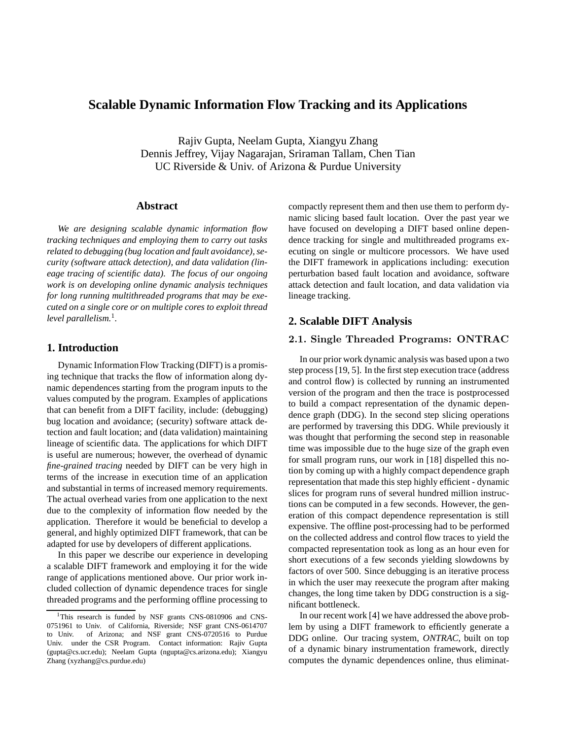# **Scalable Dynamic Information Flow Tracking and its Applications**

Rajiv Gupta, Neelam Gupta, Xiangyu Zhang Dennis Jeffrey, Vijay Nagarajan, Sriraman Tallam, Chen Tian UC Riverside & Univ. of Arizona & Purdue University

#### **Abstract**

*We are designing scalable dynamic information flow tracking techniques and employing them to carry out tasks related to debugging (bug location and fault avoidance), security (software attack detection), and data validation (lineage tracing of scientific data). The focus of our ongoing work is on developing online dynamic analysis techniques for long running multithreaded programs that may be executed on a single core or on multiple cores to exploit thread level parallelism.*<sup>1</sup> *.*

# **1. Introduction**

Dynamic Information Flow Tracking (DIFT) is a promising technique that tracks the flow of information along dynamic dependences starting from the program inputs to the values computed by the program. Examples of applications that can benefit from a DIFT facility, include: (debugging) bug location and avoidance; (security) software attack detection and fault location; and (data validation) maintaining lineage of scientific data. The applications for which DIFT is useful are numerous; however, the overhead of dynamic *fine-grained tracing* needed by DIFT can be very high in terms of the increase in execution time of an application and substantial in terms of increased memory requirements. The actual overhead varies from one application to the next due to the complexity of information flow needed by the application. Therefore it would be beneficial to develop a general, and highly optimized DIFT framework, that can be adapted for use by developers of different applications.

In this paper we describe our experience in developing a scalable DIFT framework and employing it for the wide range of applications mentioned above. Our prior work included collection of dynamic dependence traces for single threaded programs and the performing offline processing to

compactly represent them and then use them to perform dynamic slicing based fault location. Over the past year we have focused on developing a DIFT based online dependence tracking for single and multithreaded programs executing on single or multicore processors. We have used the DIFT framework in applications including: execution perturbation based fault location and avoidance, software attack detection and fault location, and data validation via lineage tracking.

# **2. Scalable DIFT Analysis**

# 2.1. Single Threaded Programs: ONTRAC

In our prior work dynamic analysis was based upon a two step process [19, 5]. In the first step execution trace (address and control flow) is collected by running an instrumented version of the program and then the trace is postprocessed to build a compact representation of the dynamic dependence graph (DDG). In the second step slicing operations are performed by traversing this DDG. While previously it was thought that performing the second step in reasonable time was impossible due to the huge size of the graph even for small program runs, our work in [18] dispelled this notion by coming up with a highly compact dependence graph representation that made this step highly efficient - dynamic slices for program runs of several hundred million instructions can be computed in a few seconds. However, the generation of this compact dependence representation is still expensive. The offline post-processing had to be performed on the collected address and control flow traces to yield the compacted representation took as long as an hour even for short executions of a few seconds yielding slowdowns by factors of over 500. Since debugging is an iterative process in which the user may reexecute the program after making changes, the long time taken by DDG construction is a significant bottleneck.

In our recent work [4] we have addressed the above problem by using a DIFT framework to efficiently generate a DDG online. Our tracing system, *ONTRAC*, built on top of a dynamic binary instrumentation framework, directly computes the dynamic dependences online, thus eliminat-

<sup>&</sup>lt;sup>1</sup>This research is funded by NSF grants CNS-0810906 and CNS-0751961 to Univ. of California, Riverside; NSF grant CNS-0614707 to Univ. of Arizona; and NSF grant CNS-0720516 to Purdue Univ. under the CSR Program. Contact information: Rajiv Gupta (gupta@cs.ucr.edu); Neelam Gupta (ngupta@cs.arizona.edu); Xiangyu Zhang (xyzhang@cs.purdue.edu)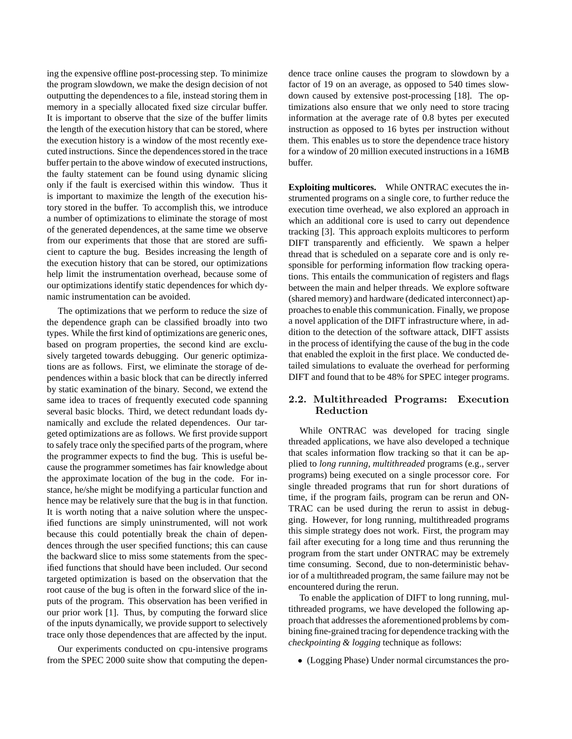ing the expensive offline post-processing step. To minimize the program slowdown, we make the design decision of not outputting the dependences to a file, instead storing them in memory in a specially allocated fixed size circular buffer. It is important to observe that the size of the buffer limits the length of the execution history that can be stored, where the execution history is a window of the most recently executed instructions. Since the dependences stored in the trace buffer pertain to the above window of executed instructions, the faulty statement can be found using dynamic slicing only if the fault is exercised within this window. Thus it is important to maximize the length of the execution history stored in the buffer. To accomplish this, we introduce a number of optimizations to eliminate the storage of most of the generated dependences, at the same time we observe from our experiments that those that are stored are sufficient to capture the bug. Besides increasing the length of the execution history that can be stored, our optimizations help limit the instrumentation overhead, because some of our optimizations identify static dependences for which dynamic instrumentation can be avoided.

The optimizations that we perform to reduce the size of the dependence graph can be classified broadly into two types. While the first kind of optimizations are generic ones, based on program properties, the second kind are exclusively targeted towards debugging. Our generic optimizations are as follows. First, we eliminate the storage of dependences within a basic block that can be directly inferred by static examination of the binary. Second, we extend the same idea to traces of frequently executed code spanning several basic blocks. Third, we detect redundant loads dynamically and exclude the related dependences. Our targeted optimizations are as follows. We first provide support to safely trace only the specified parts of the program, where the programmer expects to find the bug. This is useful because the programmer sometimes has fair knowledge about the approximate location of the bug in the code. For instance, he/she might be modifying a particular function and hence may be relatively sure that the bug is in that function. It is worth noting that a naive solution where the unspecified functions are simply uninstrumented, will not work because this could potentially break the chain of dependences through the user specified functions; this can cause the backward slice to miss some statements from the specified functions that should have been included. Our second targeted optimization is based on the observation that the root cause of the bug is often in the forward slice of the inputs of the program. This observation has been verified in our prior work [1]. Thus, by computing the forward slice of the inputs dynamically, we provide support to selectively trace only those dependences that are affected by the input.

Our experiments conducted on cpu-intensive programs from the SPEC 2000 suite show that computing the dependence trace online causes the program to slowdown by a factor of 19 on an average, as opposed to 540 times slowdown caused by extensive post-processing [18]. The optimizations also ensure that we only need to store tracing information at the average rate of 0.8 bytes per executed instruction as opposed to 16 bytes per instruction without them. This enables us to store the dependence trace history for a window of 20 million executed instructions in a 16MB buffer.

**Exploiting multicores.** While ONTRAC executes the instrumented programs on a single core, to further reduce the execution time overhead, we also explored an approach in which an additional core is used to carry out dependence tracking [3]. This approach exploits multicores to perform DIFT transparently and efficiently. We spawn a helper thread that is scheduled on a separate core and is only responsible for performing information flow tracking operations. This entails the communication of registers and flags between the main and helper threads. We explore software (shared memory) and hardware (dedicated interconnect) approaches to enable this communication. Finally, we propose a novel application of the DIFT infrastructure where, in addition to the detection of the software attack, DIFT assists in the process of identifying the cause of the bug in the code that enabled the exploit in the first place. We conducted detailed simulations to evaluate the overhead for performing DIFT and found that to be 48% for SPEC integer programs.

# 2.2. Multithreaded Programs: Execution Reduction

While ONTRAC was developed for tracing single threaded applications, we have also developed a technique that scales information flow tracking so that it can be applied to *long running*, *multithreaded* programs (e.g., server programs) being executed on a single processor core. For single threaded programs that run for short durations of time, if the program fails, program can be rerun and ON-TRAC can be used during the rerun to assist in debugging. However, for long running, multithreaded programs this simple strategy does not work. First, the program may fail after executing for a long time and thus rerunning the program from the start under ONTRAC may be extremely time consuming. Second, due to non-deterministic behavior of a multithreaded program, the same failure may not be encountered during the rerun.

To enable the application of DIFT to long running, multithreaded programs, we have developed the following approach that addresses the aforementioned problems by combining fine-grained tracing for dependence tracking with the *checkpointing & logging* technique as follows:

• (Logging Phase) Under normal circumstances the pro-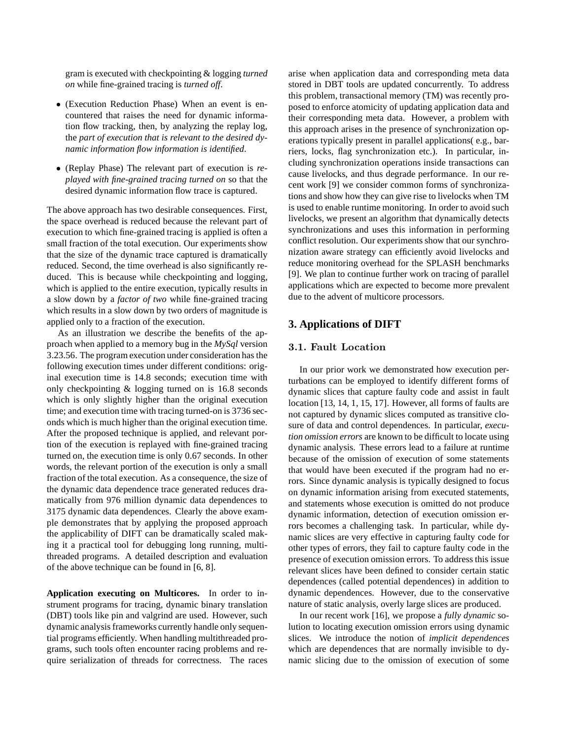gram is executed with checkpointing & logging *turned on* while fine-grained tracing is *turned off*.

- (Execution Reduction Phase) When an event is encountered that raises the need for dynamic information flow tracking, then, by analyzing the replay log, the *part of execution that is relevant to the desired dynamic information flow information is identified*.
- (Replay Phase) The relevant part of execution is *replayed with fine-grained tracing turned on* so that the desired dynamic information flow trace is captured.

The above approach has two desirable consequences. First, the space overhead is reduced because the relevant part of execution to which fine-grained tracing is applied is often a small fraction of the total execution. Our experiments show that the size of the dynamic trace captured is dramatically reduced. Second, the time overhead is also significantly reduced. This is because while checkpointing and logging, which is applied to the entire execution, typically results in a slow down by a *factor of two* while fine-grained tracing which results in a slow down by two orders of magnitude is applied only to a fraction of the execution.

As an illustration we describe the benefits of the approach when applied to a memory bug in the *MySql* version 3.23.56. The program execution under consideration has the following execution times under different conditions: original execution time is 14.8 seconds; execution time with only checkpointing & logging turned on is 16.8 seconds which is only slightly higher than the original execution time; and execution time with tracing turned-on is 3736 seconds which is much higher than the original execution time. After the proposed technique is applied, and relevant portion of the execution is replayed with fine-grained tracing turned on, the execution time is only 0.67 seconds. In other words, the relevant portion of the execution is only a small fraction of the total execution. As a consequence, the size of the dynamic data dependence trace generated reduces dramatically from 976 million dynamic data dependences to 3175 dynamic data dependences. Clearly the above example demonstrates that by applying the proposed approach the applicability of DIFT can be dramatically scaled making it a practical tool for debugging long running, multithreaded programs. A detailed description and evaluation of the above technique can be found in [6, 8].

**Application executing on Multicores.** In order to instrument programs for tracing, dynamic binary translation (DBT) tools like pin and valgrind are used. However, such dynamic analysis frameworks currently handle only sequential programs efficiently. When handling multithreaded programs, such tools often encounter racing problems and require serialization of threads for correctness. The races arise when application data and corresponding meta data stored in DBT tools are updated concurrently. To address this problem, transactional memory (TM) was recently proposed to enforce atomicity of updating application data and their corresponding meta data. However, a problem with this approach arises in the presence of synchronization operations typically present in parallel applications( e.g., barriers, locks, flag synchronization etc.). In particular, including synchronization operations inside transactions can cause livelocks, and thus degrade performance. In our recent work [9] we consider common forms of synchronizations and show how they can give rise to livelocks when TM is used to enable runtime monitoring. In order to avoid such livelocks, we present an algorithm that dynamically detects synchronizations and uses this information in performing conflict resolution. Our experiments show that our synchronization aware strategy can efficiently avoid livelocks and reduce monitoring overhead for the SPLASH benchmarks [9]. We plan to continue further work on tracing of parallel applications which are expected to become more prevalent due to the advent of multicore processors.

# **3. Applications of DIFT**

#### 3.1. Fault Location

In our prior work we demonstrated how execution perturbations can be employed to identify different forms of dynamic slices that capture faulty code and assist in fault location [13, 14, 1, 15, 17]. However, all forms of faults are not captured by dynamic slices computed as transitive closure of data and control dependences. In particular, *execution omission errors* are known to be difficult to locate using dynamic analysis. These errors lead to a failure at runtime because of the omission of execution of some statements that would have been executed if the program had no errors. Since dynamic analysis is typically designed to focus on dynamic information arising from executed statements, and statements whose execution is omitted do not produce dynamic information, detection of execution omission errors becomes a challenging task. In particular, while dynamic slices are very effective in capturing faulty code for other types of errors, they fail to capture faulty code in the presence of execution omission errors. To address this issue relevant slices have been defined to consider certain static dependences (called potential dependences) in addition to dynamic dependences. However, due to the conservative nature of static analysis, overly large slices are produced.

In our recent work [16], we propose a *fully dynamic* solution to locating execution omission errors using dynamic slices. We introduce the notion of *implicit dependences* which are dependences that are normally invisible to dynamic slicing due to the omission of execution of some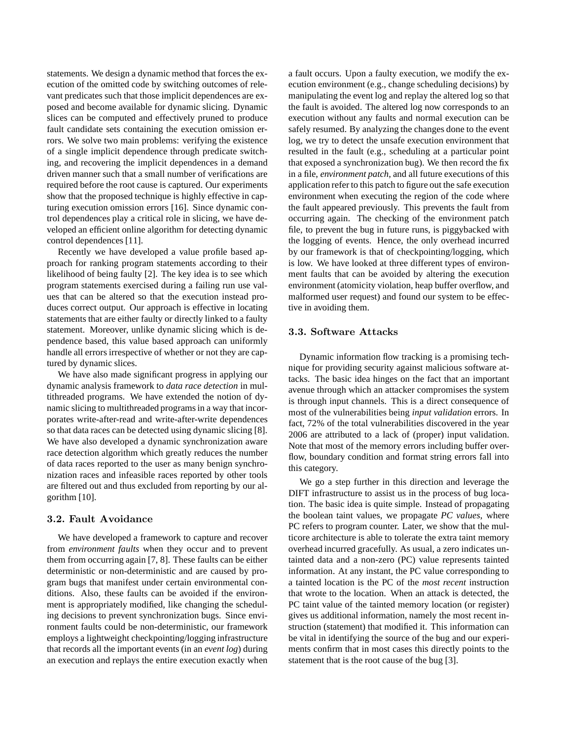statements. We design a dynamic method that forces the execution of the omitted code by switching outcomes of relevant predicates such that those implicit dependences are exposed and become available for dynamic slicing. Dynamic slices can be computed and effectively pruned to produce fault candidate sets containing the execution omission errors. We solve two main problems: verifying the existence of a single implicit dependence through predicate switching, and recovering the implicit dependences in a demand driven manner such that a small number of verifications are required before the root cause is captured. Our experiments show that the proposed technique is highly effective in capturing execution omission errors [16]. Since dynamic control dependences play a critical role in slicing, we have developed an efficient online algorithm for detecting dynamic control dependences [11].

Recently we have developed a value profile based approach for ranking program statements according to their likelihood of being faulty [2]. The key idea is to see which program statements exercised during a failing run use values that can be altered so that the execution instead produces correct output. Our approach is effective in locating statements that are either faulty or directly linked to a faulty statement. Moreover, unlike dynamic slicing which is dependence based, this value based approach can uniformly handle all errors irrespective of whether or not they are captured by dynamic slices.

We have also made significant progress in applying our dynamic analysis framework to *data race detection* in multithreaded programs. We have extended the notion of dynamic slicing to multithreaded programs in a way that incorporates write-after-read and write-after-write dependences so that data races can be detected using dynamic slicing [8]. We have also developed a dynamic synchronization aware race detection algorithm which greatly reduces the number of data races reported to the user as many benign synchronization races and infeasible races reported by other tools are filtered out and thus excluded from reporting by our algorithm [10].

#### 3.2. Fault Avoidance

We have developed a framework to capture and recover from *environment faults* when they occur and to prevent them from occurring again [7, 8]. These faults can be either deterministic or non-deterministic and are caused by program bugs that manifest under certain environmental conditions. Also, these faults can be avoided if the environment is appropriately modified, like changing the scheduling decisions to prevent synchronization bugs. Since environment faults could be non-deterministic, our framework employs a lightweight checkpointing/logging infrastructure that records all the important events (in an *event log*) during an execution and replays the entire execution exactly when

a fault occurs. Upon a faulty execution, we modify the execution environment (e.g., change scheduling decisions) by manipulating the event log and replay the altered log so that the fault is avoided. The altered log now corresponds to an execution without any faults and normal execution can be safely resumed. By analyzing the changes done to the event log, we try to detect the unsafe execution environment that resulted in the fault (e.g., scheduling at a particular point that exposed a synchronization bug). We then record the fix in a file, *environment patch*, and all future executions of this application refer to this patch to figure out the safe execution environment when executing the region of the code where the fault appeared previously. This prevents the fault from occurring again. The checking of the environment patch file, to prevent the bug in future runs, is piggybacked with the logging of events. Hence, the only overhead incurred by our framework is that of checkpointing/logging, which is low. We have looked at three different types of environment faults that can be avoided by altering the execution environment (atomicity violation, heap buffer overflow, and malformed user request) and found our system to be effective in avoiding them.

#### 3.3. Software Attacks

Dynamic information flow tracking is a promising technique for providing security against malicious software attacks. The basic idea hinges on the fact that an important avenue through which an attacker compromises the system is through input channels. This is a direct consequence of most of the vulnerabilities being *input validation* errors. In fact, 72% of the total vulnerabilities discovered in the year 2006 are attributed to a lack of (proper) input validation. Note that most of the memory errors including buffer overflow, boundary condition and format string errors fall into this category.

We go a step further in this direction and leverage the DIFT infrastructure to assist us in the process of bug location. The basic idea is quite simple. Instead of propagating the boolean taint values, we propagate *PC values*, where PC refers to program counter. Later, we show that the multicore architecture is able to tolerate the extra taint memory overhead incurred gracefully. As usual, a zero indicates untainted data and a non-zero (PC) value represents tainted information. At any instant, the PC value corresponding to a tainted location is the PC of the *most recent* instruction that wrote to the location. When an attack is detected, the PC taint value of the tainted memory location (or register) gives us additional information, namely the most recent instruction (statement) that modified it. This information can be vital in identifying the source of the bug and our experiments confirm that in most cases this directly points to the statement that is the root cause of the bug [3].